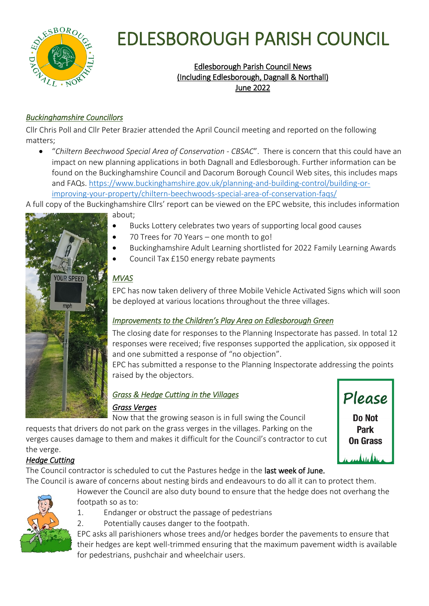

# EDLESBOROUGH PARISH COUNCIL

# Edlesborough Parish Council News (Including Edlesborough, Dagnall & Northall) June 2022

## *Buckinghamshire Councillors*

Cllr Chris Poll and Cllr Peter Brazier attended the April Council meeting and reported on the following matters;

 "*Chiltern Beechwood Special Area of Conservation - CBSAC*". There is concern that this could have an impact on new planning applications in both Dagnall and Edlesborough. Further information can be found on the Buckinghamshire Council and Dacorum Borough Council Web sites, this includes maps and FAQs. [https://www.buckinghamshire.gov.uk/planning-and-building-control/building-or](https://www.buckinghamshire.gov.uk/planning-and-building-control/building-or-improving-your-property/chiltern-beechwoods-special-area-of-conservation-faqs/)[improving-your-property/chiltern-beechwoods-special-area-of-conservation-faqs/](https://www.buckinghamshire.gov.uk/planning-and-building-control/building-or-improving-your-property/chiltern-beechwoods-special-area-of-conservation-faqs/)

A full copy of the Buckinghamshire Cllrs' report can be viewed on the EPC website, this includes information



about;

- Bucks Lottery celebrates two years of supporting local good causes
- 70 Trees for 70 Years one month to go!
- Buckinghamshire Adult Learning shortlisted for 2022 Family Learning Awards
- Council Tax £150 energy rebate payments

## *MVAS*

EPC has now taken delivery of three Mobile Vehicle Activated Signs which will soon be deployed at various locations throughout the three villages.

### *Improvements to the Children's Play Area on Edlesborough Green*

The closing date for responses to the Planning Inspectorate has passed. In total 12 responses were received; five responses supported the application, six opposed it and one submitted a response of "no objection".

EPC has submitted a response to the Planning Inspectorate addressing the points raised by the objectors.

## *Grass & Hedge Cutting in the Villages Grass Verges*

Now that the growing season is in full swing the Council requests that drivers do not park on the grass verges in the villages. Parking on the verges causes damage to them and makes it difficult for the Council's contractor to cut the verge.



# *Hedge Cutting*

The Council contractor is scheduled to cut the Pastures hedge in the last week of June. The Council is aware of concerns about nesting birds and endeavours to do all it can to protect them.



However the Council are also duty bound to ensure that the hedge does not overhang the footpath so as to:

- 1. Endanger or obstruct the passage of pedestrians
- 2. Potentially causes danger to the footpath.

EPC asks all parishioners whose trees and/or hedges border the pavements to ensure that their hedges are kept well-trimmed ensuring that the maximum pavement width is available for pedestrians, pushchair and wheelchair users.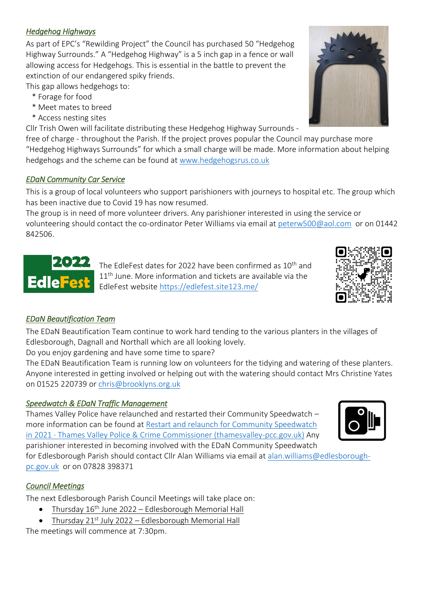### *Hedgehog Highways*

As part of EPC's "Rewilding Project" the Council has purchased 50 "Hedgehog Highway Surrounds." A "Hedgehog Highway" is a 5 inch gap in a fence or wall allowing access for Hedgehogs. This is essential in the battle to prevent the extinction of our endangered spiky friends.

This gap allows hedgehogs to:

- \* Forage for food
- \* Meet mates to breed
- \* Access nesting sites

Cllr Trish Owen will facilitate distributing these Hedgehog Highway Surrounds -

free of charge - throughout the Parish. If the project proves popular the Council may purchase more "Hedgehog Highways Surrounds" for which a small charge will be made. More information about helping hedgehogs and the scheme can be found at [www.hedgehogsrus.co.uk](http://www.hedgehogsrus.co.uk/)

#### *EDaN Community Car Service*

This is a group of local volunteers who support parishioners with journeys to hospital etc. The group which has been inactive due to Covid 19 has now resumed.

The group is in need of more volunteer drivers. Any parishioner interested in using the service or volunteering should contact the co-ordinator Peter Williams via email at [peterw500@aol.com](mailto:peterw500@aol.com) or on 01442 842506.

The EdleFest dates for 2022 have been confirmed as 10<sup>th</sup> and  $\left| 11^{\text{th}}$  June. More information and tickets are available via the EdleFest defest website<https://edlefest.site123.me/>

### *EDaN Beautification Team*

The EDaN Beautification Team continue to work hard tending to the various planters in the villages of Edlesborough, Dagnall and Northall which are all looking lovely.

Do you enjoy gardening and have some time to spare?

The EDaN Beautification Team is running low on volunteers for the tidying and watering of these planters. Anyone interested in getting involved or helping out with the watering should contact Mrs Christine Yates on 01525 220739 o[r chris@brooklyns.org.uk](mailto:chris@brooklyns.org.uk) 

#### *Speedwatch & EDaN Traffic Management*

Thames Valley Police have relaunched and restarted their Community Speedwatch – more information can be found at [Restart and relaunch for Community Speedwatch](https://www.thamesvalley-pcc.gov.uk/news-and-events/thamesvalley-pcc-news/2021/03/restart-and-relaunch-for-community-speedwatch-in-2021/)  [in 2021 · Thames Valley Police & Crime Commissioner \(thamesvalley-pcc.gov.uk\)](https://www.thamesvalley-pcc.gov.uk/news-and-events/thamesvalley-pcc-news/2021/03/restart-and-relaunch-for-community-speedwatch-in-2021/) Any parishioner interested in becoming involved with the EDaN Community Speedwatch

for Edlesborough Parish should contact Cllr Alan Williams via email at [alan.williams@edlesborough](mailto:alan.williams@edlesborough-pc.gov.uk)[pc.gov.uk](mailto:alan.williams@edlesborough-pc.gov.uk) or on 07828 398371

#### *Council Meetings*

The next Edlesborough Parish Council Meetings will take place on:

- Thursday 16th June 2022 Edlesborough Memorial Hall
- Thursday 21<sup>st</sup> July 2022 Edlesborough Memorial Hall

The meetings will commence at 7:30pm.